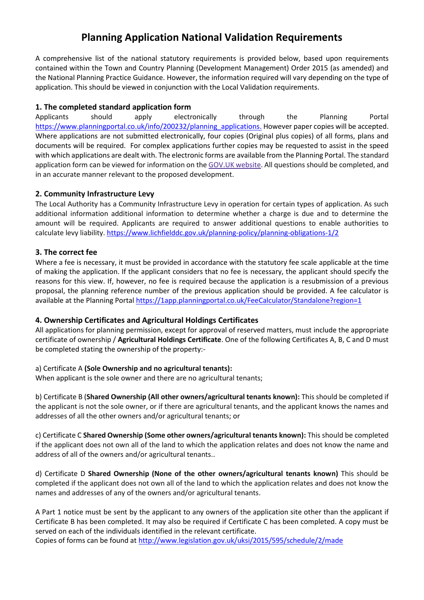# **Planning Application National Validation Requirements**

A comprehensive list of the national statutory requirements is provided below, based upon requirements contained within the Town and Country Planning (Development Management) Order 2015 (as amended) and the National Planning Practice Guidance. However, the information required will vary depending on the type of application. This should be viewed in conjunction with the Local Validation requirements.

# **1. The completed standard application form**

Applicants should apply electronically through the Planning Portal [https://www.planningportal.co.uk/info/200232/planning\\_applications.](https://www.planningportal.co.uk/info/200232/planning_applications) However paper copies will be accepted. Where applications are not submitted electronically, four copies (Original plus copies) of all forms, plans and documents will be required. For complex applications further copies may be requested to assist in the speed with which applications are dealt with. The electronic forms are available from the Planning Portal. The standard application form can be viewed for information on th[e GOV.UK](https://www.gov.uk/government/publications/planning-application-forms-templates-for-local-planning-authorities) website. All questions should be completed, and in an accurate manner relevant to the proposed development.

## **2. Community Infrastructure Levy**

The Local Authority has a Community Infrastructure Levy in operation for certain types of application. As such additional information additional information to determine whether a charge is due and to determine the amount will be required. Applicants are required to answer additional questions to enable authorities to calculate levy liability.<https://www.lichfielddc.gov.uk/planning-policy/planning-obligations-1/2>

## **3. The correct fee**

Where a fee is necessary, it must be provided in accordance with the statutory fee scale applicable at the time of making the application. If the applicant considers that no fee is necessary, the applicant should specify the reasons for this view. If, however, no fee is required because the application is a resubmission of a previous proposal, the planning reference number of the previous application should be provided. A fee calculator is available at the Planning Portal<https://1app.planningportal.co.uk/FeeCalculator/Standalone?region=1>

## **4. Ownership Certificates and Agricultural Holdings Certificates**

All applications for planning permission, except for approval of reserved matters, must include the appropriate certificate of ownership / **Agricultural Holdings Certificate**. One of the following Certificates A, B, C and D must be completed stating the ownership of the property:-

## a) Certificate A **(Sole Ownership and no agricultural tenants):**

When applicant is the sole owner and there are no agricultural tenants;

b) Certificate B (**Shared Ownership (All other owners/agricultural tenants known):** This should be completed if the applicant is not the sole owner, or if there are agricultural tenants, and the applicant knows the names and addresses of all the other owners and/or agricultural tenants; or

c) Certificate C **Shared Ownership (Some other owners/agricultural tenants known):** This should be completed if the applicant does not own all of the land to which the application relates and does not know the name and address of all of the owners and/or agricultural tenants..

d) Certificate D **Shared Ownership (None of the other owners/agricultural tenants known)** This should be completed if the applicant does not own all of the land to which the application relates and does not know the names and addresses of any of the owners and/or agricultural tenants.

A Part 1 notice must be sent by the applicant to any owners of the application site other than the applicant if Certificate B has been completed. It may also be required if Certificate C has been completed. A copy must be served on each of the individuals identified in the relevant certificate.

Copies of forms can be found at<http://www.legislation.gov.uk/uksi/2015/595/schedule/2/made>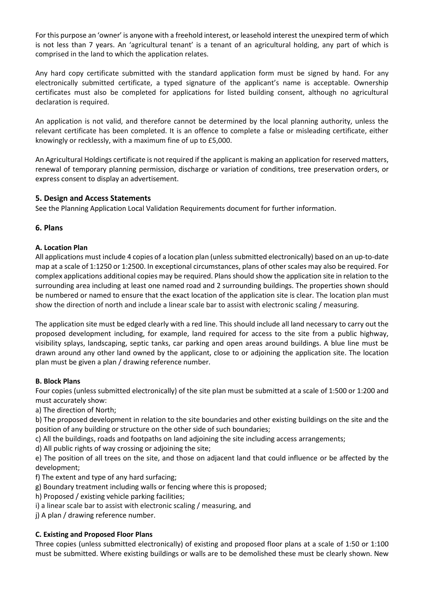For this purpose an 'owner' is anyone with a freehold interest, or leasehold interest the unexpired term of which is not less than 7 years. An 'agricultural tenant' is a tenant of an agricultural holding, any part of which is comprised in the land to which the application relates.

Any hard copy certificate submitted with the standard application form must be signed by hand. For any electronically submitted certificate, a typed signature of the applicant's name is acceptable. Ownership certificates must also be completed for applications for listed building consent, although no agricultural declaration is required.

An application is not valid, and therefore cannot be determined by the local planning authority, unless the relevant certificate has been completed. It is an offence to complete a false or misleading certificate, either knowingly or recklessly, with a maximum fine of up to £5,000.

An Agricultural Holdings certificate is not required if the applicant is making an application for reserved matters, renewal of temporary planning permission, discharge or variation of conditions, tree preservation orders, or express consent to display an advertisement.

## **5. Design and Access Statements**

See the Planning Application Local Validation Requirements document for further information.

### **6. Plans**

### **A. Location Plan**

All applications must include 4 copies of a location plan (unless submitted electronically) based on an up-to-date map at a scale of 1:1250 or 1:2500. In exceptional circumstances, plans of other scales may also be required. For complex applications additional copies may be required. Plans should show the application site in relation to the surrounding area including at least one named road and 2 surrounding buildings. The properties shown should be numbered or named to ensure that the exact location of the application site is clear. The location plan must show the direction of north and include a linear scale bar to assist with electronic scaling / measuring.

The application site must be edged clearly with a red line. This should include all land necessary to carry out the proposed development including, for example, land required for access to the site from a public highway, visibility splays, landscaping, septic tanks, car parking and open areas around buildings. A blue line must be drawn around any other land owned by the applicant, close to or adjoining the application site. The location plan must be given a plan / drawing reference number.

## **B. Block Plans**

Four copies (unless submitted electronically) of the site plan must be submitted at a scale of 1:500 or 1:200 and must accurately show:

a) The direction of North;

b) The proposed development in relation to the site boundaries and other existing buildings on the site and the position of any building or structure on the other side of such boundaries;

c) All the buildings, roads and footpaths on land adjoining the site including access arrangements;

d) All public rights of way crossing or adjoining the site;

e) The position of all trees on the site, and those on adjacent land that could influence or be affected by the development;

f) The extent and type of any hard surfacing;

g) Boundary treatment including walls or fencing where this is proposed;

h) Proposed / existing vehicle parking facilities;

i) a linear scale bar to assist with electronic scaling / measuring, and

j) A plan / drawing reference number.

## **C. Existing and Proposed Floor Plans**

Three copies (unless submitted electronically) of existing and proposed floor plans at a scale of 1:50 or 1:100 must be submitted. Where existing buildings or walls are to be demolished these must be clearly shown. New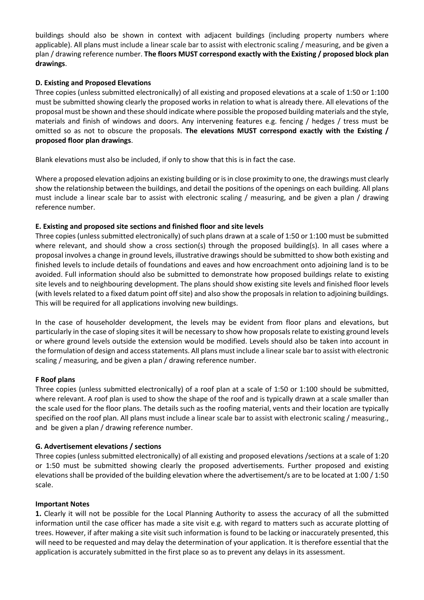buildings should also be shown in context with adjacent buildings (including property numbers where applicable). All plans must include a linear scale bar to assist with electronic scaling / measuring, and be given a plan / drawing reference number. **The floors MUST correspond exactly with the Existing / proposed block plan drawings**.

## **D. Existing and Proposed Elevations**

Three copies (unless submitted electronically) of all existing and proposed elevations at a scale of 1:50 or 1:100 must be submitted showing clearly the proposed works in relation to what is already there. All elevations of the proposal must be shown and these should indicate where possible the proposed building materials and the style, materials and finish of windows and doors. Any intervening features e.g. fencing / hedges / tress must be omitted so as not to obscure the proposals. **The elevations MUST correspond exactly with the Existing / proposed floor plan drawings**.

Blank elevations must also be included, if only to show that this is in fact the case.

Where a proposed elevation adjoins an existing building or is in close proximity to one, the drawings must clearly show the relationship between the buildings, and detail the positions of the openings on each building. All plans must include a linear scale bar to assist with electronic scaling / measuring, and be given a plan / drawing reference number.

### **E. Existing and proposed site sections and finished floor and site levels**

Three copies (unless submitted electronically) of such plans drawn at a scale of 1:50 or 1:100 must be submitted where relevant, and should show a cross section(s) through the proposed building(s). In all cases where a proposal involves a change in ground levels, illustrative drawings should be submitted to show both existing and finished levels to include details of foundations and eaves and how encroachment onto adjoining land is to be avoided. Full information should also be submitted to demonstrate how proposed buildings relate to existing site levels and to neighbouring development. The plans should show existing site levels and finished floor levels (with levels related to a fixed datum point off site) and also show the proposals in relation to adjoining buildings. This will be required for all applications involving new buildings.

In the case of householder development, the levels may be evident from floor plans and elevations, but particularly in the case of sloping sites it will be necessary to show how proposals relate to existing ground levels or where ground levels outside the extension would be modified. Levels should also be taken into account in the formulation of design and access statements. All plans must include a linear scale bar to assist with electronic scaling / measuring, and be given a plan / drawing reference number.

#### **F Roof plans**

Three copies (unless submitted electronically) of a roof plan at a scale of 1:50 or 1:100 should be submitted, where relevant. A roof plan is used to show the shape of the roof and is typically drawn at a scale smaller than the scale used for the floor plans. The details such as the roofing material, vents and their location are typically specified on the roof plan. All plans must include a linear scale bar to assist with electronic scaling / measuring., and be given a plan / drawing reference number.

## **G. Advertisement elevations / sections**

Three copies (unless submitted electronically) of all existing and proposed elevations /sections at a scale of 1:20 or 1:50 must be submitted showing clearly the proposed advertisements. Further proposed and existing elevations shall be provided of the building elevation where the advertisement/s are to be located at 1:00 / 1:50 scale.

#### **Important Notes**

**1.** Clearly it will not be possible for the Local Planning Authority to assess the accuracy of all the submitted information until the case officer has made a site visit e.g. with regard to matters such as accurate plotting of trees. However, if after making a site visit such information is found to be lacking or inaccurately presented, this will need to be requested and may delay the determination of your application. It is therefore essential that the application is accurately submitted in the first place so as to prevent any delays in its assessment.